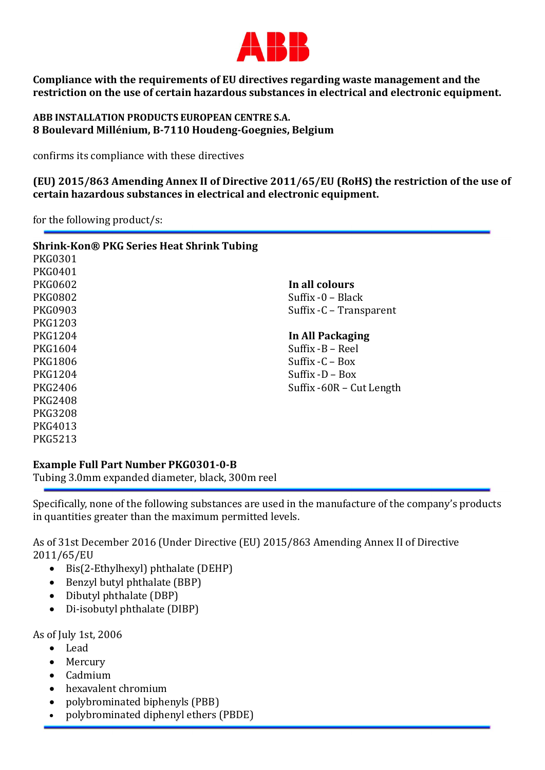

Compliance with the requirements of EU directives regarding waste management and the restriction on the use of certain hazardous substances in electrical and electronic equipment.

ABB INSTALLATION PRODUCTS EUROPEAN CENTRE S.A. 8 Boulevard Millénium, B-7110 Houdeng-Goegnies, Belgium

confirms its compliance with these directives

(EU) 2015/863 Amending Annex II of Directive 2011/65/EU (RoHS) the restriction of the use of certain hazardous substances in electrical and electronic equipment.

for the following product/s:

| <b>Shrink-Kon® PKG Series Heat Shrink Tubing</b> |                          |
|--------------------------------------------------|--------------------------|
| <b>PKG0301</b>                                   |                          |
| <b>PKG0401</b>                                   |                          |
| <b>PKG0602</b>                                   | In all colours           |
| <b>PKG0802</b>                                   | Suffix $-0$ – Black      |
| <b>PKG0903</b>                                   | Suffix - C – Transparent |
| <b>PKG1203</b>                                   |                          |
| <b>PKG1204</b>                                   | In All Packaging         |
| <b>PKG1604</b>                                   | Suffix -B – Reel         |
| <b>PKG1806</b>                                   | Suffix $-C - Box$        |
| <b>PKG1204</b>                                   | Suffix $-D - Box$        |
| <b>PKG2406</b>                                   | Suffix -60R – Cut Length |
| <b>PKG2408</b>                                   |                          |
| <b>PKG3208</b>                                   |                          |
| PKG4013                                          |                          |
| <b>PKG5213</b>                                   |                          |
|                                                  |                          |

## Example Full Part Number PKG0301-0-B

Tubing 3.0mm expanded diameter, black, 300m reel

Specifically, none of the following substances are used in the manufacture of the company's products in quantities greater than the maximum permitted levels.

As of 31st December 2016 (Under Directive (EU) 2015/863 Amending Annex II of Directive 2011/65/EU

- $\bullet$  Bis(2-Ethylhexyl) phthalate (DEHP)
- Benzyl butyl phthalate (BBP)
- Dibutyl phthalate (DBP)
- Di-isobutyl phthalate (DIBP)

As of July 1st, 2006

- Lead
- Mercury
- Cadmium
- hexavalent chromium
- polybrominated biphenyls (PBB)
- polybrominated diphenyl ethers (PBDE)